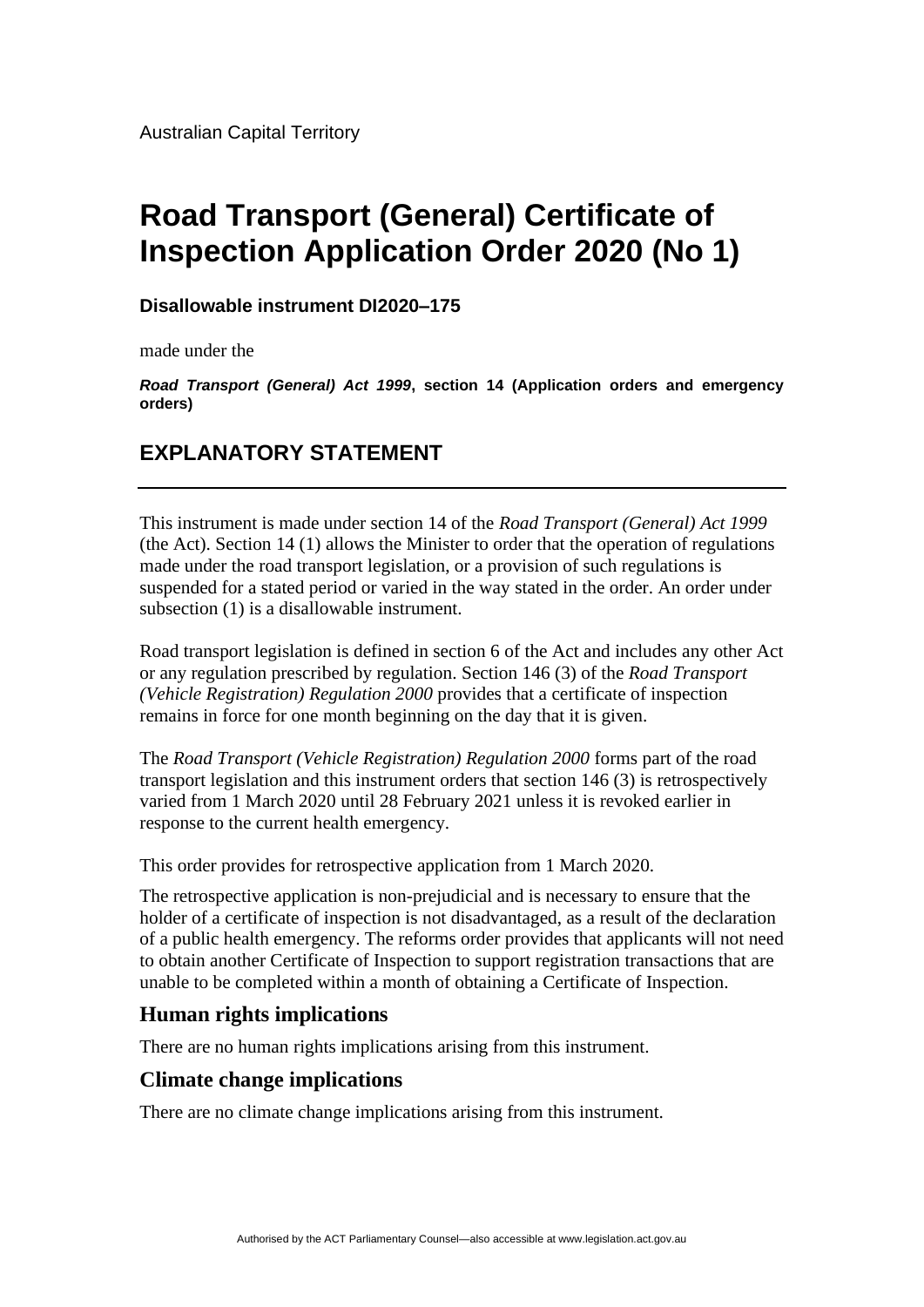# **Road Transport (General) Certificate of Inspection Application Order 2020 (No 1)**

#### **Disallowable instrument DI2020–175**

made under the

*Road Transport (General) Act 1999***, section 14 (Application orders and emergency orders)**

## **EXPLANATORY STATEMENT**

This instrument is made under section 14 of the *Road Transport (General) Act 1999* (the Act). Section 14 (1) allows the Minister to order that the operation of regulations made under the road transport legislation, or a provision of such regulations is suspended for a stated period or varied in the way stated in the order. An order under subsection (1) is a disallowable instrument.

Road transport legislation is defined in section 6 of the Act and includes any other Act or any regulation prescribed by regulation. Section 146 (3) of the *Road Transport (Vehicle Registration) Regulation 2000* provides that a certificate of inspection remains in force for one month beginning on the day that it is given.

The *Road Transport (Vehicle Registration) Regulation 2000* forms part of the road transport legislation and this instrument orders that section 146 (3) is retrospectively varied from 1 March 2020 until 28 February 2021 unless it is revoked earlier in response to the current health emergency.

This order provides for retrospective application from 1 March 2020.

The retrospective application is non-prejudicial and is necessary to ensure that the holder of a certificate of inspection is not disadvantaged, as a result of the declaration of a public health emergency. The reforms order provides that applicants will not need to obtain another Certificate of Inspection to support registration transactions that are unable to be completed within a month of obtaining a Certificate of Inspection.

## **Human rights implications**

There are no human rights implications arising from this instrument.

### **Climate change implications**

There are no climate change implications arising from this instrument.